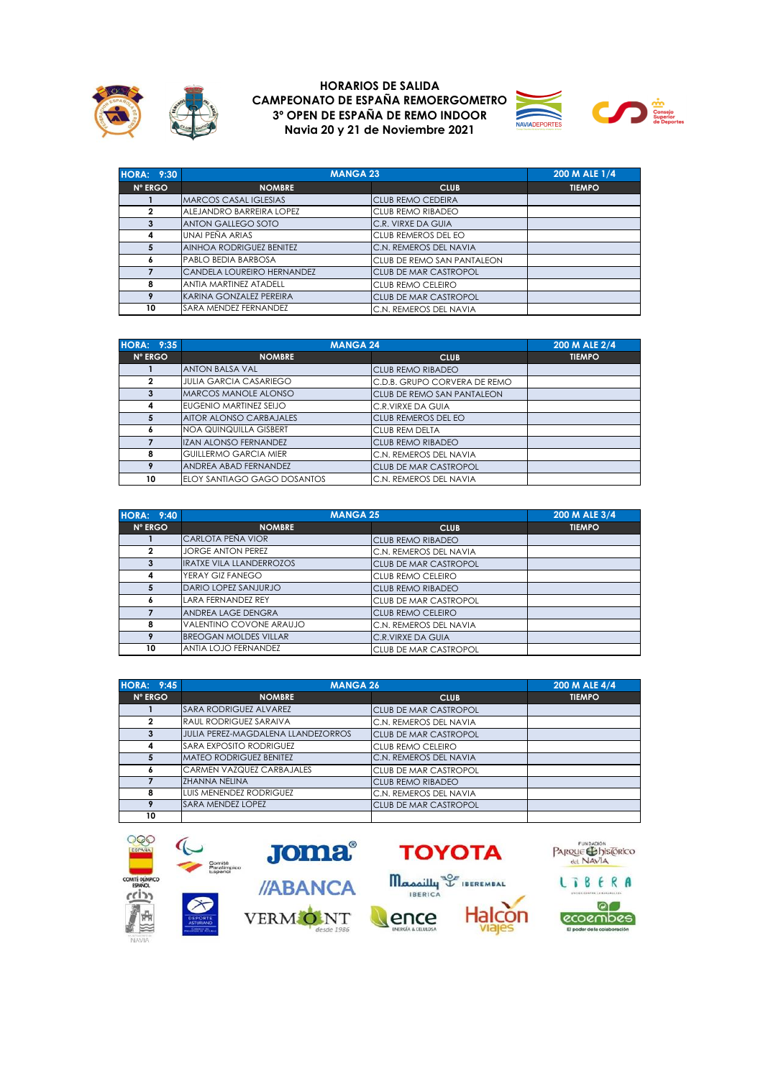





| <b>HORA: 9:30</b> | <b>MANGA 23</b>               |                              | 200 M ALE 1/4 |
|-------------------|-------------------------------|------------------------------|---------------|
| <b>N° ERGO</b>    | <b>NOMBRE</b>                 | <b>CLUB</b>                  | <b>TIEMPO</b> |
|                   | <b>MARCOS CASAL IGLESIAS</b>  | <b>CLUB REMO CEDEIRA</b>     |               |
| 2                 | ALEJANDRO BARREIRA LOPEZ      | <b>CLUB REMO RIBADEO</b>     |               |
| 3                 | <b>ANTON GALLEGO SOTO</b>     | C.R. VIRXE DA GUIA           |               |
| 4                 | UNAI PEÑA ARIAS               | <b>CLUB REMEROS DEL EO</b>   |               |
| 5                 | AINHOA RODRIGUEZ BENITEZ      | C.N. REMEROS DEL NAVIA       |               |
| 6                 | PABLO BEDIA BARBOSA           | CLUB DE REMO SAN PANTALEON   |               |
|                   | CANDELA LOUREIRO HERNANDEZ    | <b>CLUB DE MAR CASTROPOL</b> |               |
| 8                 | <b>ANTIA MARTINEZ ATADELL</b> | <b>CLUB REMO CELEIRO</b>     |               |
| 9                 | KARINA GONZALEZ PEREIRA       | <b>CLUB DE MAR CASTROPOL</b> |               |
| 10                | SARA MENDEZ FERNANDEZ         | C.N. REMEROS DEL NAVIA       |               |

| <b>HORA: 9:35</b> |                                | <b>MANGA 24</b>                   | 200 M ALE 2/4 |
|-------------------|--------------------------------|-----------------------------------|---------------|
| N° ERGO           | <b>NOMBRE</b>                  | <b>CLUB</b>                       | <b>TIEMPO</b> |
|                   | <b>ANTON BALSA VAL</b>         | <b>CLUB REMO RIBADEO</b>          |               |
| $\mathbf{2}$      | <b>JULIA GARCIA CASARIEGO</b>  | C.D.B. GRUPO CORVERA DE REMO      |               |
| 3                 | <b>MARCOS MANOLE ALONSO</b>    | <b>CLUB DE REMO SAN PANTALEON</b> |               |
| 4                 | EUGENIO MARTINEZ SEIJO         | C.R.VIRXE DA GUIA                 |               |
| 5                 | <b>AITOR ALONSO CARBAJALES</b> | <b>CLUB REMEROS DEL EO</b>        |               |
| 6                 | NOA QUINQUILLA GISBERT         | CLUB REM DELTA                    |               |
|                   | <b>IZAN ALONSO FERNANDEZ</b>   | <b>CLUB REMO RIBADEO</b>          |               |
| 8                 | <b>GUILLERMO GARCIA MIER</b>   | C.N. REMEROS DEL NAVIA            |               |
| 9                 | ANDREA ABAD FERNANDEZ          | <b>CLUB DE MAR CASTROPOL</b>      |               |
| 10                | ELOY SANTIAGO GAGO DOSANTOS    | C.N. REMEROS DEL NAVIA            |               |

| <b>HORA: 9:40</b> | <b>MANGA 25</b>                 |                              | 200 M ALE 3/4 |
|-------------------|---------------------------------|------------------------------|---------------|
| N° ERGO           | <b>NOMBRE</b>                   | <b>CLUB</b>                  | <b>TIEMPO</b> |
|                   | CARLOTA PEÑA VIOR               | <b>CLUB REMO RIBADEO</b>     |               |
| $\mathbf{2}$      | <b>JORGE ANTON PEREZ</b>        | C.N. REMEROS DEL NAVIA       |               |
| 3                 | <b>IRATXE VILA LLANDERROZOS</b> | <b>CLUB DE MAR CASTROPOL</b> |               |
| 4                 | YERAY GIZ FANEGO                | CLUB REMO CELEIRO            |               |
| 5                 | DARIO LOPEZ SANJURJO            | <b>CLUB REMO RIBADEO</b>     |               |
| 6                 | <b>LARA FERNANDEZ REY</b>       | CLUB DE MAR CASTROPOL        |               |
|                   | ANDREA LAGE DENGRA              | CLUB REMO CELEIRO            |               |
| 8                 | VALENTINO COVONE ARAUJO         | C.N. REMEROS DEL NAVIA       |               |
| 9                 | <b>BREOGAN MOLDES VILLAR</b>    | C.R.VIRXE DA GUIA            |               |
| 10                | <b>ANTIA LOJO FERNANDEZ</b>     | CLUB DE MAR CASTROPOL        |               |

| <b>HORA: 9:45</b> |                                    | <b>MANGA 26</b>              |               |  |
|-------------------|------------------------------------|------------------------------|---------------|--|
| <b>N° ERGO</b>    | <b>NOMBRE</b>                      | <b>CLUB</b>                  | <b>TIEMPO</b> |  |
|                   | <b>SARA RODRIGUEZ ALVAREZ</b>      | <b>CLUB DE MAR CASTROPOL</b> |               |  |
| $\overline{2}$    | <b>RAUL RODRIGUEZ SARAIVA</b>      | C.N. REMEROS DEL NAVIA       |               |  |
| 3                 | JULIA PEREZ-MAGDALENA LLANDEZORROS | <b>CLUB DE MAR CASTROPOL</b> |               |  |
| 4                 | <b>SARA EXPOSITO RODRIGUEZ</b>     | CLUB REMO CELEIRO            |               |  |
| 5                 | <b>MATEO RODRIGUEZ BENITEZ</b>     | C.N. REMEROS DEL NAVIA       |               |  |
| 6                 | <b>CARMEN VAZQUEZ CARBAJALES</b>   | CLUB DE MAR CASTROPOL        |               |  |
|                   | <b>ZHANNA NELINA</b>               | <b>CLUB REMO RIBADEO</b>     |               |  |
| 8                 | LUIS MENENDEZ RODRIGUEZ            | C.N. REMEROS DEL NAVIA       |               |  |
|                   | <b>SARA MENDEZ LOPEZ</b>           | CLUB DE MAR CASTROPOL        |               |  |
| 10                |                                    |                              |               |  |

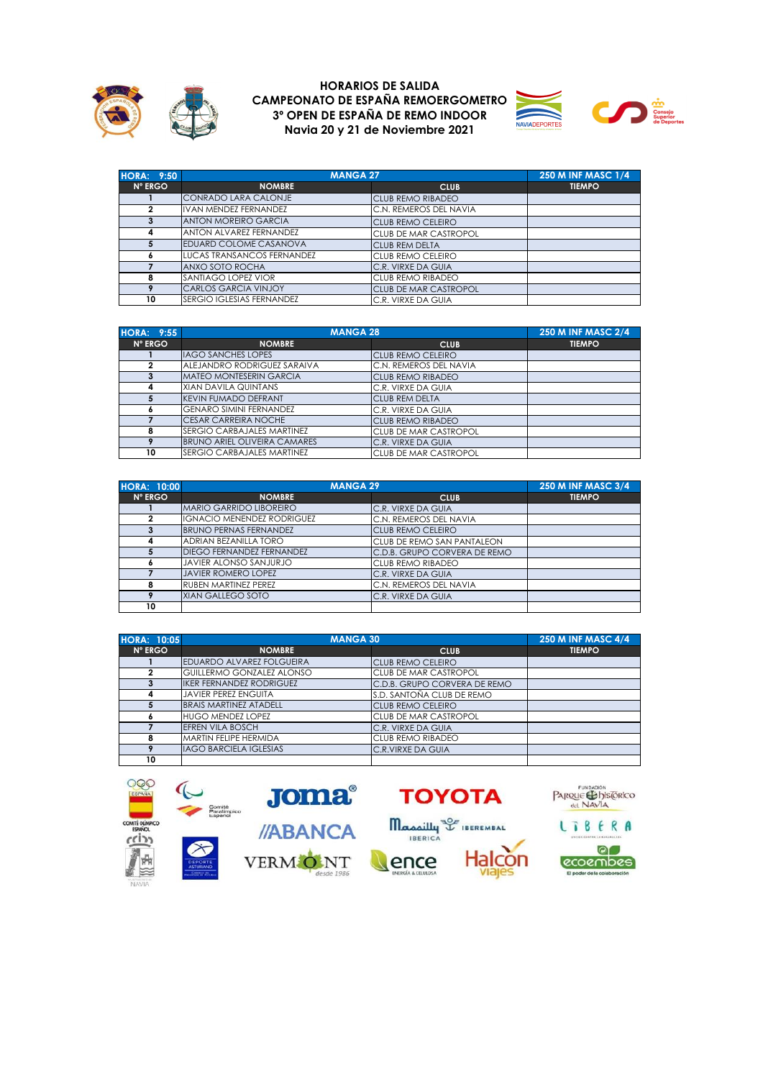





| <b>HORA: 9:50</b> | <b>MANGA 27</b>                   |                              | <b>250 M INF MASC 1/4</b> |
|-------------------|-----------------------------------|------------------------------|---------------------------|
| <b>N° ERGO</b>    | <b>NOMBRE</b>                     | <b>CLUB</b>                  | <b>TIEMPO</b>             |
|                   | <b>CONRADO LARA CALONJE</b>       | <b>CLUB REMO RIBADEO</b>     |                           |
| 2                 | <b>IVAN MENDEZ FERNANDEZ</b>      | C.N. REMEROS DEL NAVIA       |                           |
| 3                 | <b>ANTON MOREIRO GARCIA</b>       | <b>CLUB REMO CELEIRO</b>     |                           |
| 4                 | ANTON ALVAREZ FERNANDEZ           | CLUB DE MAR CASTROPOL        |                           |
|                   | EDUARD COLOME CASANOVA            | <b>CLUB REM DELTA</b>        |                           |
| ô                 | <b>LUCAS TRANSANCOS FERNANDEZ</b> | CLUB REMO CELEIRO            |                           |
|                   | ANXO SOTO ROCHA                   | C.R. VIRXE DA GUIA           |                           |
| 8                 | SANTIAGO LOPEZ VIOR               | CLUB REMO RIBADEO            |                           |
| 9                 | <b>CARLOS GARCIA VINJOY</b>       | <b>CLUB DE MAR CASTROPOL</b> |                           |
| 10                | SERGIO IGLESIAS FERNANDEZ         | C.R. VIRXE DA GUIA           |                           |

| <b>HORA: 9:55</b> | <b>MANGA 28</b>                     |                              | <b>250 M INF MASC 2/4</b> |
|-------------------|-------------------------------------|------------------------------|---------------------------|
| <b>N° ERGO</b>    | <b>NOMBRE</b>                       | <b>CLUB</b>                  | <b>TIEMPO</b>             |
|                   | <b>IAGO SANCHES LOPES</b>           | <b>ICLUB REMO CELEIRO</b>    |                           |
| 2                 | ALEJANDRO RODRIGUEZ SARAIVA         | C.N. REMEROS DEL NAVIA       |                           |
| 3                 | <b>MATEO MONTESERIN GARCIA</b>      | <b>CLUB REMO RIBADEO</b>     |                           |
| 4                 | <b>XIAN DAVILA QUINTANS</b>         | C.R. VIRXE DA GUIA           |                           |
| 5                 | <b>KEVIN FUMADO DEFRANT</b>         | <b>CLUB REM DELTA</b>        |                           |
| ۰                 | <b>GENARO SIMINI FERNANDEZ</b>      | C.R. VIRXE DA GUIA           |                           |
|                   | <b>CESAR CARREIRA NOCHE</b>         | <b>CLUB REMO RIBADEO</b>     |                           |
| 8                 | <b>SERGIO CARBAJALES MARTINEZ</b>   | <b>CLUB DE MAR CASTROPOL</b> |                           |
| 9                 | <b>BRUNO ARIEL OLIVEIRA CAMARES</b> | C.R. VIRXE DA GUIA           |                           |
| 10                | <b>ISERGIO CARBAJALES MARTINEZ</b>  | <b>CLUB DE MAR CASTROPOL</b> |                           |

| <b>HORA: 10:00</b> | <b>MANGA 29</b>                   |                              | <b>250 M INF MASC 3/4</b> |
|--------------------|-----------------------------------|------------------------------|---------------------------|
| N° ERGO            | <b>NOMBRE</b>                     | <b>CLUB</b>                  | <b>TIEMPO</b>             |
|                    | MARIO GARRIDO LIBOREIRO           | C.R. VIRXE DA GUIA           |                           |
| 2                  | <b>IGNACIO MENENDEZ RODRIGUEZ</b> | C.N. REMEROS DEL NAVIA       |                           |
| 3                  | <b>BRUNO PERNAS FERNANDEZ</b>     | <b>CLUB REMO CELEIRO</b>     |                           |
| 4                  | <b>ADRIAN BEZANILLA TORO</b>      | CLUB DE REMO SAN PANTALEON   |                           |
|                    | <b>DIEGO FERNANDEZ FERNANDEZ</b>  | C.D.B. GRUPO CORVERA DE REMO |                           |
|                    | <b>JAVIER ALONSO SANJURJO</b>     | CLUB REMO RIBADEO            |                           |
|                    | <b>JAVIER ROMERO LOPEZ</b>        | C.R. VIRXE DA GUIA           |                           |
| 8                  | <b>RUBEN MARTINEZ PEREZ</b>       | C.N. REMEROS DEL NAVIA       |                           |
|                    | XIAN GALLEGO SOTO                 | C.R. VIRXE DA GUIA           |                           |
| 10                 |                                   |                              |                           |

| <b>HORA: 10:05</b> |                                  | <b>MANGA 30</b>              |               |
|--------------------|----------------------------------|------------------------------|---------------|
| <b>N° ERGO</b>     | <b>NOMBRE</b>                    | <b>CLUB</b>                  | <b>TIEMPO</b> |
|                    | EDUARDO ALVAREZ FOLGUEIRA        | <b>CLUB REMO CELEIRO</b>     |               |
| 2                  | <b>GUILLERMO GONZALEZ ALONSO</b> | CLUB DE MAR CASTROPOL        |               |
|                    | <b>IKER FERNANDEZ RODRIGUEZ</b>  | C.D.B. GRUPO CORVERA DE REMO |               |
| 4                  | <b>JAVIER PEREZ ENGUITA</b>      | S.D. SANTOÑA CLUB DE REMO    |               |
| 5                  | <b>BRAIS MARTINEZ ATADELL</b>    | <b>CLUB REMO CELEIRO</b>     |               |
| <b>A</b>           | <b>HUGO MENDEZ LOPEZ</b>         | CLUB DE MAR CASTROPOL        |               |
|                    | <b>EFREN VILA BOSCH</b>          | C.R. VIRXE DA GUIA           |               |
| 8                  | MARTIN FELIPE HERMIDA            | <b>CLUB REMO RIBADEO</b>     |               |
|                    | <b>IAGO BARCIELA IGLESIAS</b>    | C.R.VIRXE DA GUIA            |               |
| 10                 |                                  |                              |               |

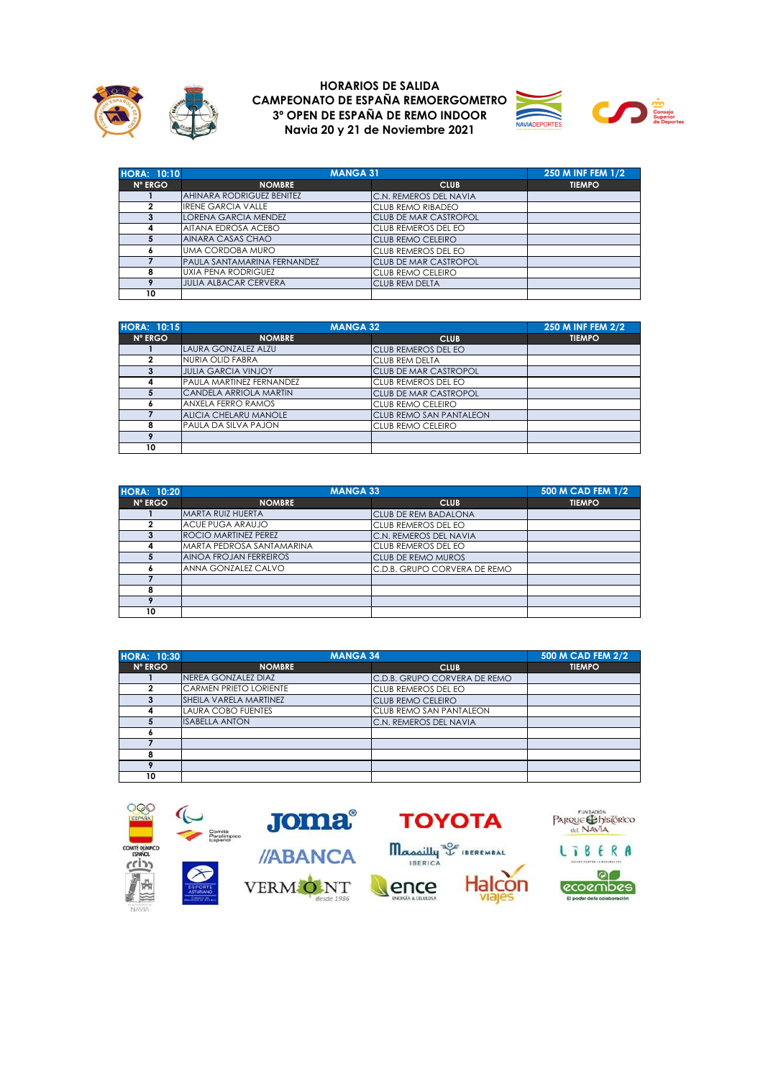





| <b>HORA: 10:10</b> | <b>MANGA 31</b>                  |                              | 250 M INF FEM 1/2 |
|--------------------|----------------------------------|------------------------------|-------------------|
| N° ERGO            | <b>NOMBRE</b>                    | <b>CLUB</b>                  | <b>TIEMPO</b>     |
|                    | <b>AHINARA RODRIGUEZ BENITEZ</b> | C.N. REMEROS DEL NAVIA       |                   |
|                    | <b>IRENE GARCIA VALLE</b>        | <b>CLUB REMO RIBADEO</b>     |                   |
| 3                  | <b>LORENA GARCIA MENDEZ</b>      | <b>CLUB DE MAR CASTROPOL</b> |                   |
| 4                  | AITANA EDROSA ACEBO              | CLUB REMEROS DEL EO          |                   |
|                    | AINARA CASAS CHAO                | <b>CLUB REMO CELEIRO</b>     |                   |
|                    | <b>UMA CORDOBA MURO</b>          | CLUB REMEROS DEL EO          |                   |
|                    | PAULA SANTAMARINA FERNANDEZ      | <b>CLUB DE MAR CASTROPOL</b> |                   |
|                    | <b>UXIA PENA RODRIGUEZ</b>       | CLUB REMO CELEIRO            |                   |
|                    | <b>JULIA ALBACAR CERVERA</b>     | <b>CLUB REM DELTA</b>        |                   |
| 10                 |                                  |                              |                   |

| <b>HORA: 10:15</b> | <b>MANGA 32</b>                 |                                | 250 M INF FEM 2/2 |
|--------------------|---------------------------------|--------------------------------|-------------------|
| <b>N° ERGO</b>     | <b>NOMBRE</b>                   | <b>CLUB</b>                    | <b>TIEMPO</b>     |
|                    | LAURA GONZALEZ ALZU             | <b>CLUB REMEROS DEL EO</b>     |                   |
|                    | <b>NURIA OLID FABRA</b>         | <b>CLUB REM DELTA</b>          |                   |
| 3                  | <b>JULIA GARCIA VINJOY</b>      | <b>CLUB DE MAR CASTROPOL</b>   |                   |
| 4                  | <b>PAULA MARTINEZ FERNANDEZ</b> | CLUB REMEROS DEL EO            |                   |
|                    | CANDELA ARRIOLA MARTIN          | <b>CLUB DE MAR CASTROPOL</b>   |                   |
|                    | <b>ANXELA FERRO RAMOS</b>       | <b>CLUB REMO CELEIRO</b>       |                   |
|                    | ALICIA CHELARU MANOLE           | <b>CLUB REMO SAN PANTALEON</b> |                   |
| 8                  | <b>PAULA DA SILVA PAJON</b>     | <b>CLUB REMO CELEIRO</b>       |                   |
| $\bullet$          |                                 |                                |                   |
| 10                 |                                 |                                |                   |

| <b>HORA: 10:20</b> | <b>MANGA 33</b>             |                              | 500 M CAD FEM 1/2 |
|--------------------|-----------------------------|------------------------------|-------------------|
| N° ERGO            | <b>NOMBRE</b>               | <b>CLUB</b>                  | <b>TIEMPO</b>     |
|                    | MARTA RUIZ HUERTA           | <b>CLUB DE REM BADALONA</b>  |                   |
|                    | <b>ACUE PUGA ARAUJO</b>     | CLUB REMEROS DEL EO          |                   |
|                    | <b>ROCIO MARTINEZ PEREZ</b> | C.N. REMEROS DEL NAVIA       |                   |
| 4                  | MARTA PEDROSA SANTAMARINA   | CLUB REMEROS DEL EO          |                   |
|                    | AINOA FROJAN FERREIROS      | CLUB DE REMO MUROS           |                   |
|                    | ANNA GONZALEZ CALVO         | C.D.B. GRUPO CORVERA DE REMO |                   |
|                    |                             |                              |                   |
| 8                  |                             |                              |                   |
|                    |                             |                              |                   |
| 10                 |                             |                              |                   |

| <b>HORA: 10:30</b> |                               | <b>MANGA 34</b>              |               |
|--------------------|-------------------------------|------------------------------|---------------|
| N° ERGO            | <b>NOMBRE</b>                 | <b>CLUB</b>                  | <b>TIEMPO</b> |
|                    | NEREA GONZALEZ DIAZ           | C.D.B. GRUPO CORVERA DE REMO |               |
|                    | <b>CARMEN PRIETO LORIENTE</b> | CLUB REMEROS DEL EO          |               |
|                    | SHEILA VARELA MARTINEZ        | <b>CLUB REMO CELEIRO</b>     |               |
| 4                  | <b>LAURA COBO FUENTES</b>     | CLUB REMO SAN PANTALEON      |               |
| 5                  | <b>ISABELLA ANTON</b>         | C.N. REMEROS DEL NAVIA       |               |
| o                  |                               |                              |               |
|                    |                               |                              |               |
| 8                  |                               |                              |               |
|                    |                               |                              |               |
| 10                 |                               |                              |               |

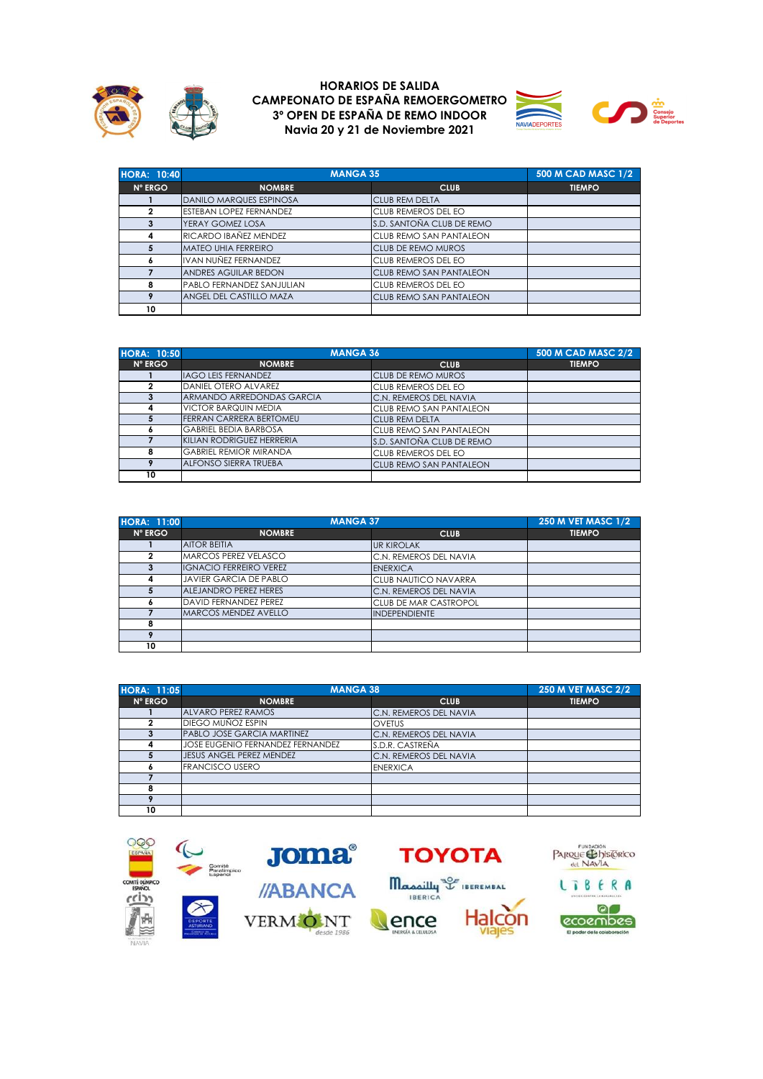





| <b>HORA: 10:40</b> |                                  | <b>MANGA 35</b>                |               |  |
|--------------------|----------------------------------|--------------------------------|---------------|--|
| N° ERGO            | <b>NOMBRE</b>                    | <b>CLUB</b>                    | <b>TIEMPO</b> |  |
|                    | <b>DANILO MARQUES ESPINOSA</b>   | <b>CLUB REM DELTA</b>          |               |  |
| $\mathbf{2}$       | <b>ESTEBAN LOPEZ FERNANDEZ</b>   | <b>CLUB REMEROS DEL EO</b>     |               |  |
|                    | YERAY GOMEZ LOSA                 | S.D. SANTOÑA CLUB DE REMO      |               |  |
| 4                  | RICARDO IBAÑEZ MENDEZ            | <b>CLUB REMO SAN PANTALEON</b> |               |  |
| 5                  | <b>MATEO UHIA FERREIRO</b>       | <b>CLUB DE REMO MUROS</b>      |               |  |
| 6                  | IVAN NUÑEZ FERNANDEZ             | <b>CLUB REMEROS DEL EO</b>     |               |  |
|                    | <b>ANDRES AGUILAR BEDON</b>      | <b>CLUB REMO SAN PANTALEON</b> |               |  |
| 8                  | <b>PABLO FERNANDEZ SANJULIAN</b> | <b>CLUB REMEROS DEL EO</b>     |               |  |
|                    | ANGEL DEL CASTILLO MAZA          | <b>CLUB REMO SAN PANTALEON</b> |               |  |
| 10                 |                                  |                                |               |  |

| <b>HORA: 10:50</b> | <b>MANGA 36</b>                |                                | <b>500 M CAD MASC 2/2</b> |
|--------------------|--------------------------------|--------------------------------|---------------------------|
| <b>N° ERGO</b>     | <b>NOMBRE</b>                  | <b>CLUB</b>                    | <b>TIEMPO</b>             |
|                    | <b>IAGO LEIS FERNANDEZ</b>     | <b>CLUB DE REMO MUROS</b>      |                           |
| 2                  | DANIEL OTERO ALVAREZ           | CLUB REMEROS DEL EO            |                           |
| 3                  | ARMANDO ARREDONDAS GARCIA      | C.N. REMEROS DEL NAVIA         |                           |
| 4                  | <b>VICTOR BARQUIN MEDIA</b>    | <b>CLUB REMO SAN PANTALEON</b> |                           |
| 5                  | <b>FERRAN CARRERA BERTOMEU</b> | <b>CLUB REM DELTA</b>          |                           |
| <b>O</b>           | <b>GABRIEL BEDIA BARBOSA</b>   | <b>CLUB REMO SAN PANTALEON</b> |                           |
|                    | KILIAN RODRIGUEZ HERRERIA      | S.D. SANTOÑA CLUB DE REMO      |                           |
| 8                  | <b>GABRIEL REMIOR MIRANDA</b>  | CLUB REMEROS DEL EO            |                           |
| 9                  | <b>ALFONSO SIERRA TRUEBA</b>   | <b>CLUB REMO SAN PANTALEON</b> |                           |
| 10                 |                                |                                |                           |

| <b>HORA: 11:00</b> | <b>MANGA 37</b>               |                              | <b>250 M VET MASC 1/2</b> |
|--------------------|-------------------------------|------------------------------|---------------------------|
| <b>N° ERGO</b>     | <b>NOMBRE</b>                 | <b>CLUB</b>                  | <b>TIEMPO</b>             |
|                    | <b>AITOR BEITIA</b>           | <b>UR KIROLAK</b>            |                           |
| 2                  | MARCOS PEREZ VELASCO          | C.N. REMEROS DEL NAVIA       |                           |
| 3                  | <b>IGNACIO FERREIRO VEREZ</b> | <b>ENERXICA</b>              |                           |
| 4                  | <b>JAVIER GARCIA DE PABLO</b> | <b>CLUB NAUTICO NAVARRA</b>  |                           |
|                    | <b>ALEJANDRO PEREZ HERES</b>  | C.N. REMEROS DEL NAVIA       |                           |
|                    | <b>DAVID FERNANDEZ PEREZ</b>  | <b>CLUB DE MAR CASTROPOL</b> |                           |
|                    | <b>MARCOS MENDEZ AVELLO</b>   | <b>INDEPENDIENTE</b>         |                           |
| 8                  |                               |                              |                           |
|                    |                               |                              |                           |
| 10                 |                               |                              |                           |

| <b>HORA: 11:05</b> | <b>MANGA 38</b>                   |                        | <b>250 M VET MASC 2/2</b> |
|--------------------|-----------------------------------|------------------------|---------------------------|
| <b>N° ERGO</b>     | <b>NOMBRE</b>                     | <b>CLUB</b>            | <b>TIEMPO</b>             |
|                    | ALVARO PEREZ RAMOS                | C.N. REMEROS DEL NAVIA |                           |
| 2                  | <b>DIEGO MUÑOZ ESPIN</b>          | <b>OVETUS</b>          |                           |
|                    | <b>PABLO JOSE GARCIA MARTINEZ</b> | C.N. REMEROS DEL NAVIA |                           |
| 4                  | JOSE EUGENIO FERNANDEZ FERNANDEZ  | S.D.R. CASTREÑA        |                           |
| 5                  | JESUS ANGEL PEREZ MENDEZ          | C.N. REMEROS DEL NAVIA |                           |
|                    | <b>FRANCISCO USERO</b>            | <b>ENERXICA</b>        |                           |
|                    |                                   |                        |                           |
| 8                  |                                   |                        |                           |
|                    |                                   |                        |                           |
| 10                 |                                   |                        |                           |

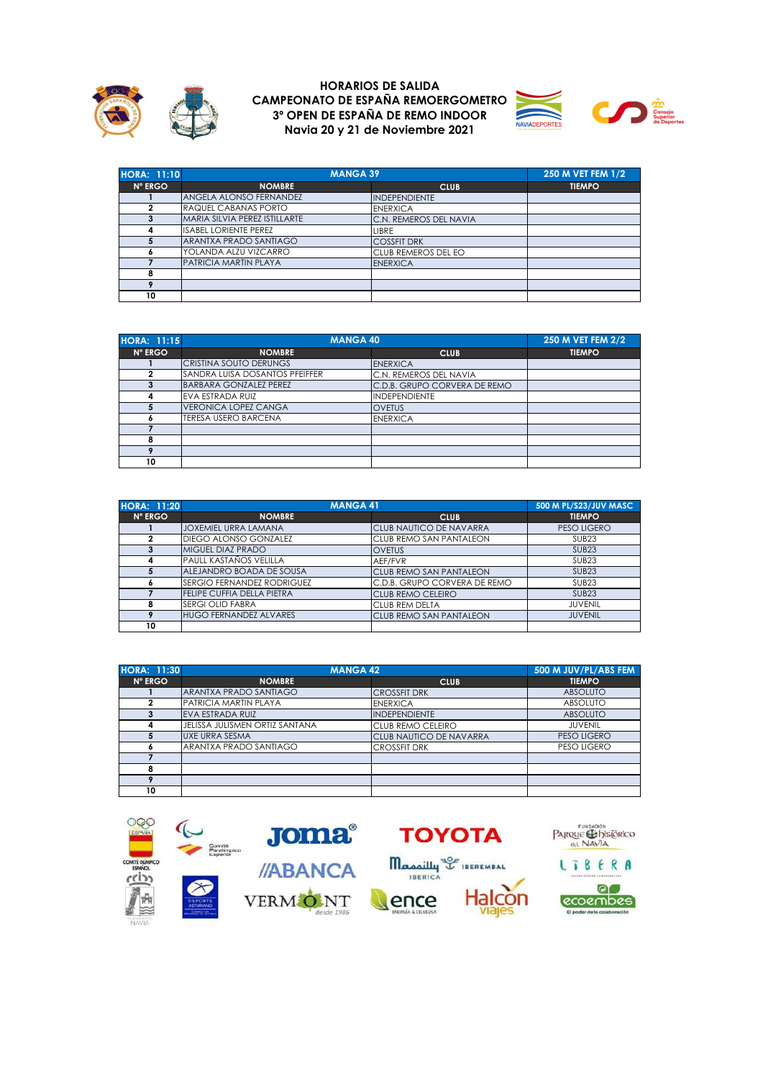





| <b>HORA: 11:10</b> | <b>MANGA 39</b>                |                        | 250 M VET FEM 1/2 |
|--------------------|--------------------------------|------------------------|-------------------|
| <b>N° ERGO</b>     | <b>NOMBRE</b>                  | <b>CLUB</b>            | <b>TIEMPO</b>     |
|                    | <b>ANGELA ALONSO FERNANDEZ</b> | <b>INDEPENDIENTE</b>   |                   |
| 2                  | <b>RAQUEL CABANAS PORTO</b>    | <b>ENERXICA</b>        |                   |
| з                  | MARIA SILVIA PEREZ ISTILLARTE  | C.N. REMEROS DEL NAVIA |                   |
| Δ                  | <b>ISABEL LORIENTE PEREZ</b>   | LIBRE                  |                   |
|                    | ARANTXA PRADO SANTIAGO         | <b>COSSFIT DRK</b>     |                   |
|                    | YOLANDA ALZU VIZCARRO          | CLUB REMEROS DEL EO    |                   |
|                    | PATRICIA MARTIN PLAYA          | <b>ENERXICA</b>        |                   |
| 8                  |                                |                        |                   |
|                    |                                |                        |                   |
| 10                 |                                |                        |                   |

| <b>HORA: 11:15</b> | <b>MANGA 40</b>                |                              | 250 M VET FEM 2/2 |
|--------------------|--------------------------------|------------------------------|-------------------|
| N° ERGO            | <b>NOMBRE</b>                  | <b>CLUB</b>                  | <b>TIEMPO</b>     |
|                    | <b>CRISTINA SOUTO DERUNGS</b>  | <b>ENERXICA</b>              |                   |
|                    | SANDRA LUISA DOSANTOS PFEIFFER | C.N. REMEROS DEL NAVIA       |                   |
|                    | <b>BARBARA GONZALEZ PEREZ</b>  | C.D.B. GRUPO CORVERA DE REMO |                   |
| 4                  | EVA ESTRADA RUIZ               | <b>INDEPENDIENTE</b>         |                   |
|                    | <b>VERONICA LOPEZ CANGA</b>    | <b>OVETUS</b>                |                   |
|                    | <b>TERESA USERO BARCENA</b>    | <b>ENERXICA</b>              |                   |
|                    |                                |                              |                   |
| 8                  |                                |                              |                   |
|                    |                                |                              |                   |
| 10                 |                                |                              |                   |

| <b>HORA: 11:20</b> | <b>MANGA 41</b>                   | 500 M PL/S23/JUV MASC          |                    |
|--------------------|-----------------------------------|--------------------------------|--------------------|
| <b>N° ERGO</b>     | <b>NOMBRE</b>                     | <b>CLUB</b>                    | <b>TIEMPO</b>      |
|                    | <b>JOXEMIEL URRA LAMANA</b>       | <b>CLUB NAUTICO DE NAVARRA</b> | <b>PESO LIGERO</b> |
| 2                  | DIEGO ALONSO GONZALEZ             | CLUB REMO SAN PANTALEON        | SUB <sub>23</sub>  |
| 3                  | <b>MIGUEL DIAZ PRADO</b>          | <b>OVETUS</b>                  | SUB <sub>23</sub>  |
| 4                  | <b>PAULL KASTANOS VELILLA</b>     | AEF/FVR                        | SUB <sub>23</sub>  |
| 5                  | ALEJANDRO BOADA DE SOUSA          | <b>CLUB REMO SAN PANTALEON</b> | SUB <sub>23</sub>  |
|                    | <b>SERGIO FERNANDEZ RODRIGUEZ</b> | C.D.B. GRUPO CORVERA DE REMO   | SUB <sub>23</sub>  |
|                    | <b>FELIPE CUFFIA DELLA PIETRA</b> | <b>CLUB REMO CELEIRO</b>       | SUB <sub>23</sub>  |
| 8                  | <b>SERGI OLID FABRA</b>           | CLUB REM DELTA                 | <b>JUVENIL</b>     |
|                    | <b>HUGO FERNANDEZ ALVARES</b>     | <b>CLUB REMO SAN PANTALEON</b> | <b>JUVENIL</b>     |
| 10                 |                                   |                                |                    |

| <b>HORA: 11:30</b> | <b>MANGA 42</b>                |                                | 500 M JUV/PL/ABS FEM |
|--------------------|--------------------------------|--------------------------------|----------------------|
| N° ERGO            | <b>NOMBRE</b>                  | <b>CLUB</b>                    | <b>TIEMPO</b>        |
|                    | ARANTXA PRADO SANTIAGO         | <b>CROSSFIT DRK</b>            | <b>ABSOLUTO</b>      |
| 2                  | <b>PATRICIA MARTIN PLAYA</b>   | <b>ENERXICA</b>                | <b>ABSOLUTO</b>      |
| 3                  | EVA ESTRADA RUIZ               | <b>INDEPENDIENTE</b>           | <b>ABSOLUTO</b>      |
| 4                  | JELISSA JULISMEN ORTIZ SANTANA | CLUB REMO CELEIRO              | <b>JUVENIL</b>       |
|                    | <b>UXE URRA SESMA</b>          | <b>CLUB NAUTICO DE NAVARRA</b> | <b>PESO LIGERO</b>   |
|                    | ARANTXA PRADO SANTIAGO         | <b>CROSSFIT DRK</b>            | PESO LIGERO          |
|                    |                                |                                |                      |
| 8                  |                                |                                |                      |
| ۰                  |                                |                                |                      |
| 10                 |                                |                                |                      |

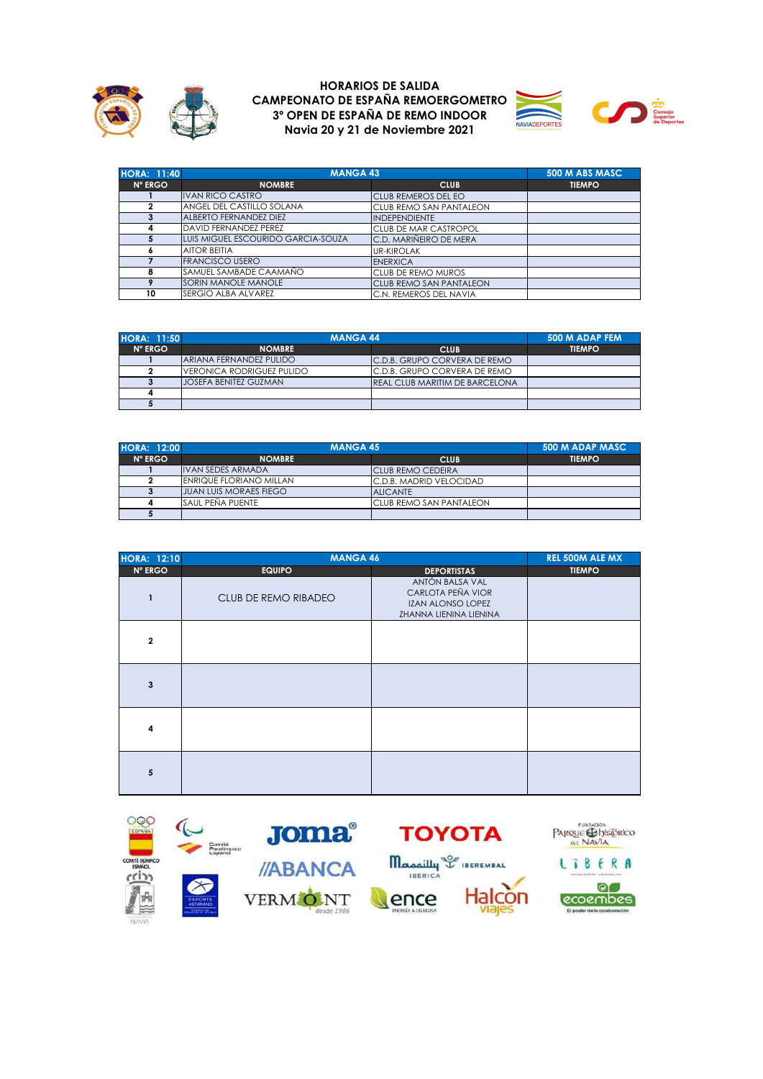





| <b>HORA: 11:40</b> |                                    | <b>MANGA 43</b>                |               |
|--------------------|------------------------------------|--------------------------------|---------------|
| <b>N° ERGO</b>     | <b>NOMBRE</b>                      | <b>CLUB</b>                    | <b>TIEMPO</b> |
|                    | <b>IVAN RICO CASTRO</b>            | ICLUB REMEROS DEL EO           |               |
| 2                  | ANGEL DEL CASTILLO SOLANA          | <b>CLUB REMO SAN PANTALEON</b> |               |
| 3                  | <b>ALBERTO FERNANDEZ DIEZ</b>      | <b>INDEPENDIENTE</b>           |               |
| 4                  | <b>DAVID FERNANDEZ PEREZ</b>       | <b>CLUB DE MAR CASTROPOL</b>   |               |
| 5                  | LUIS MIGUEL ESCOURIDO GARCIA-SOUZA | C.D. MARIÑEIRO DE MERA         |               |
| <b>A</b>           | <b>AITOR BEITIA</b>                | <b>UR-KIROLAK</b>              |               |
|                    | <b>FRANCISCO USERO</b>             | <b>ENERXICA</b>                |               |
| 8                  | SAMUEL SAMBADE CAAMAÑO             | <b>CLUB DE REMO MUROS</b>      |               |
| 9                  | SORIN MANOLE MANOLE                | <b>CLUB REMO SAN PANTALEON</b> |               |
| 10                 | SERGIO ALBA ALVAREZ                | C.N. REMEROS DEL NAVIA         |               |

| <b>HORA: 11:50</b> | <b>MANGA 44</b>            |                                | 500 M ADAP FEM |
|--------------------|----------------------------|--------------------------------|----------------|
| N° ERGO            | <b>NOMBRE</b>              | <b>CLUB</b>                    | <b>TIEMPO</b>  |
|                    | ARIANA FERNANDEZ PULIDO    | C.D.B. GRUPO CORVERA DE REMO   |                |
|                    | IVERONICA RODRIGUEZ PULIDO | C.D.B. GRUPO CORVERA DE REMO   |                |
|                    | JOSEFA BENITEZ GUZMAN      | REAL CLUB MARITIM DE BARCELONA |                |
|                    |                            |                                |                |
|                    |                            |                                |                |

| <b>HORA: 12:00</b> | <b>MANGA 45</b>                |                          | 500 M ADAP MASC |
|--------------------|--------------------------------|--------------------------|-----------------|
| $N^{\circ}$ ERGO   | <b>NOMBRE</b>                  | <b>CLUB</b>              | <b>TIEMPO</b>   |
|                    | <b>IVAN SEDES ARMADA</b>       | <b>CLUB REMO CEDEIRA</b> |                 |
|                    | <b>ENRIQUE FLORIANO MILLAN</b> | C.D.B. MADRID VELOCIDAD  |                 |
|                    | <b>JUAN LUIS MORAES FIEGO</b>  | <b>ALICANTE</b>          |                 |
|                    | <b>SAUL PEÑA PUENTE</b>        | CLUB REMO SAN PANTALEON  |                 |
|                    |                                |                          |                 |

| <b>HORA: 12:10</b>      | <b>MANGA 46</b>      |                                                                                            | <b>REL 500M ALE MX</b> |
|-------------------------|----------------------|--------------------------------------------------------------------------------------------|------------------------|
| <b>Nº ERGO</b>          | <b>EQUIPO</b>        | <b>DEPORTISTAS</b>                                                                         | <b>TIEMPO</b>          |
| 1                       | CLUB DE REMO RIBADEO | ANTÓN BALSA VAL<br>CARLOTA PEÑA VIOR<br><b>IZAN ALONSO LOPEZ</b><br>ZHANNA LIENINA LIENINA |                        |
| $\overline{2}$          |                      |                                                                                            |                        |
| 3                       |                      |                                                                                            |                        |
| $\overline{\mathbf{4}}$ |                      |                                                                                            |                        |
| 5                       |                      |                                                                                            |                        |

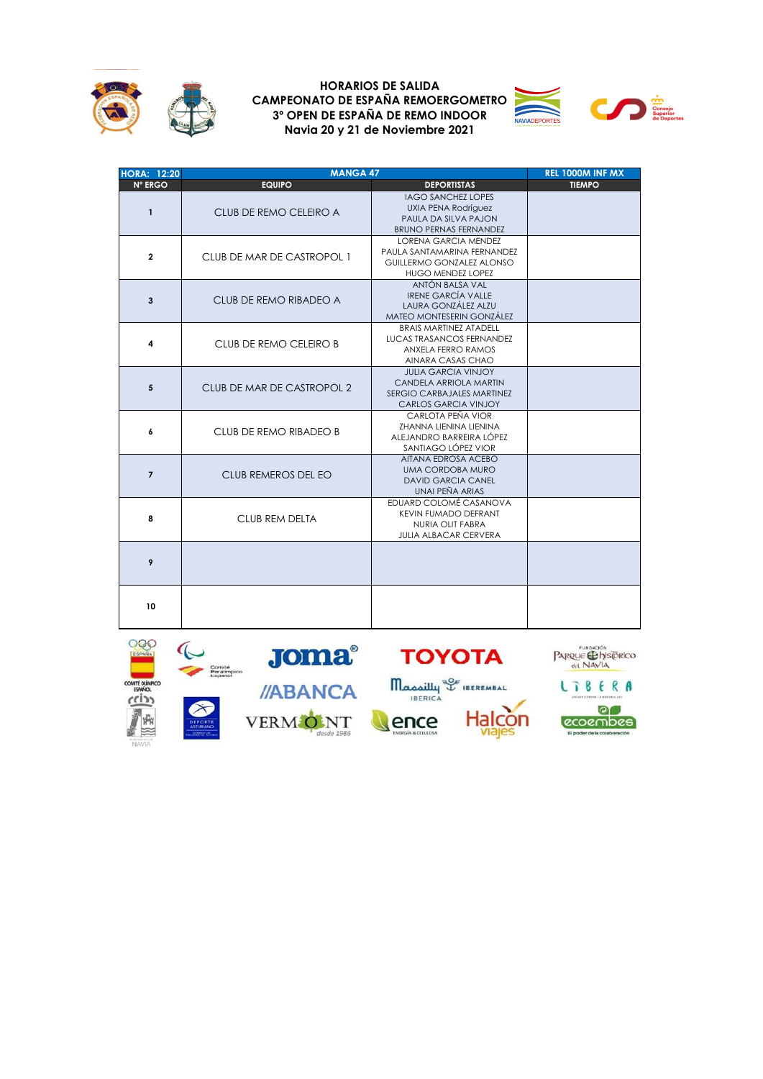



| <b>HORA: 12:20</b> | <b>MANGA 47</b>            |                                                                                                                     | REL 1000M INF MX |
|--------------------|----------------------------|---------------------------------------------------------------------------------------------------------------------|------------------|
| <b>N° ERGO</b>     | <b>EQUIPO</b>              | <b>DEPORTISTAS</b>                                                                                                  | <b>TIEMPO</b>    |
| $\mathbf{1}$       | CLUB DE REMO CELEIRO A     | <b>IAGO SANCHEZ LOPES</b><br><b>UXIA PENA Rodríguez</b><br>PAULA DA SILVA PAJON<br><b>BRUNO PERNAS FERNANDEZ</b>    |                  |
| $\overline{2}$     | CLUB DE MAR DE CASTROPOL 1 | <b>LORENA GARCIA MENDEZ</b><br>PAULA SANTAMARINA FERNANDEZ<br>GUILLERMO GONZALEZ ALONSO<br><b>HUGO MENDEZ LOPEZ</b> |                  |
| 3                  | CLUB DE REMO RIBADEO A     | ANTÓN BALSA VAL<br><b>IRENE GARCÍA VALLE</b><br>LAURA GONZÁLEZ ALZU<br>MATEO MONTESERIN GONZÁLEZ                    |                  |
| 4                  | CLUB DE REMO CELEIRO B     | BRAIS MARTINEZ ATADELL<br><b>LUCAS TRASANCOS FERNANDEZ</b><br><b>ANXELA FERRO RAMOS</b><br>AINARA CASAS CHAO        |                  |
| 5                  | CLUB DE MAR DE CASTROPOL 2 | <b>JULIA GARCIA VINJOY</b><br>CANDELA ARRIOLA MARTIN<br>SERGIO CARBAJALES MARTINEZ<br><b>CARLOS GARCIA VINJOY</b>   |                  |
| 6                  | CLUB DE REMO RIBADEO B     | CARLOTA PEÑA VIOR<br><b>ZHANNA LIENINA LIENINA</b><br>ALEJANDRO BARREIRA LÓPEZ<br>SANTIAGO LÓPEZ VIOR               |                  |
| $\overline{7}$     | CLUB REMEROS DEL EO        | AITANA EDROSA ACEBO<br><b>UMA CORDOBA MURO</b><br><b>DAVID GARCIA CANEL</b><br>UNAI PEÑA ARIAS                      |                  |
| 8                  | CLUB REM DELTA             | EDUARD COLOMÉ CASANOVA<br><b>KEVIN FUMADO DEFRANT</b><br><b>NURIA OLIT FABRA</b><br><b>JULIA ALBACAR CERVERA</b>    |                  |
| 9                  |                            |                                                                                                                     |                  |
| 10                 |                            |                                                                                                                     |                  |

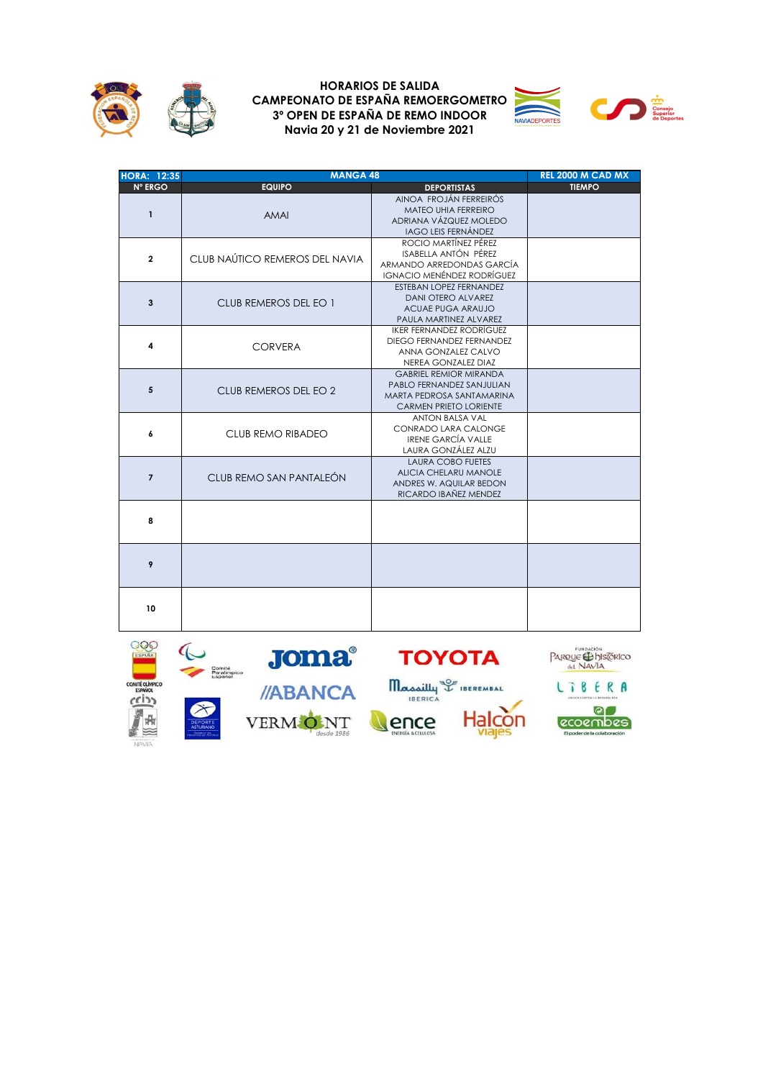



| <b>HORA: 12:35</b> | <b>MANGA 48</b>                |                                                                                                                          | <b>REL 2000 M CAD MX</b> |
|--------------------|--------------------------------|--------------------------------------------------------------------------------------------------------------------------|--------------------------|
| <b>N° ERGO</b>     | <b>EQUIPO</b>                  | <b>DEPORTISTAS</b>                                                                                                       | <b>TIEMPO</b>            |
| $\mathbf{1}$       | AMAI                           | AINOA FROJÁN FERREIRÓS<br>MATEO UHIA FERREIRO<br>ADRIANA VÁZQUEZ MOLEDO<br><b>IAGO LEIS FERNÁNDEZ</b>                    |                          |
| $\overline{2}$     | CLUB NAÚTICO REMEROS DEL NAVIA | ROCIO MARTÍNEZ PÉREZ<br>ISABELLA ANTÓN PÉREZ<br>ARMANDO ARREDONDAS GARCÍA<br><b>IGNACIO MENÉNDEZ RODRÍGUEZ</b>           |                          |
| 3                  | CLUB REMEROS DEL EO 1          | ESTEBAN LOPEZ FERNANDEZ<br><b>DANI OTERO ALVAREZ</b><br>ACUAE PUGA ARAUJO<br>PAULA MARTINEZ ALVAREZ                      |                          |
| 4                  | <b>CORVERA</b>                 | <b>IKER FERNANDEZ RODRÍGUEZ</b><br>DIEGO FERNANDEZ FERNANDEZ<br>ANNA GONZALEZ CALVO<br>NEREA GONZALEZ DIAZ               |                          |
| 5                  | CLUB REMEROS DEL EO 2          | <b>GABRIEL REMIOR MIRANDA</b><br>PABLO FERNANDEZ SANJULIAN<br>MARTA PEDROSA SANTAMARINA<br><b>CARMEN PRIETO LORIENTE</b> |                          |
| 6                  | CLUB REMO RIBADEO              | <b>ANTON BALSA VAL</b><br>CONRADO LARA CALONGE<br><b>IRENE GARCÍA VALLE</b><br>LAURA GONZÁLEZ ALZU                       |                          |
| $\overline{7}$     | CLUB REMO SAN PANTALEÓN        | <b>LAURA COBO FUETES</b><br><b>ALICIA CHELARU MANOLE</b><br>ANDRES W. AQUILAR BEDON<br>RICARDO IBAÑEZ MENDEZ             |                          |
| 8                  |                                |                                                                                                                          |                          |
| 9                  |                                |                                                                                                                          |                          |
| 10                 |                                |                                                                                                                          |                          |

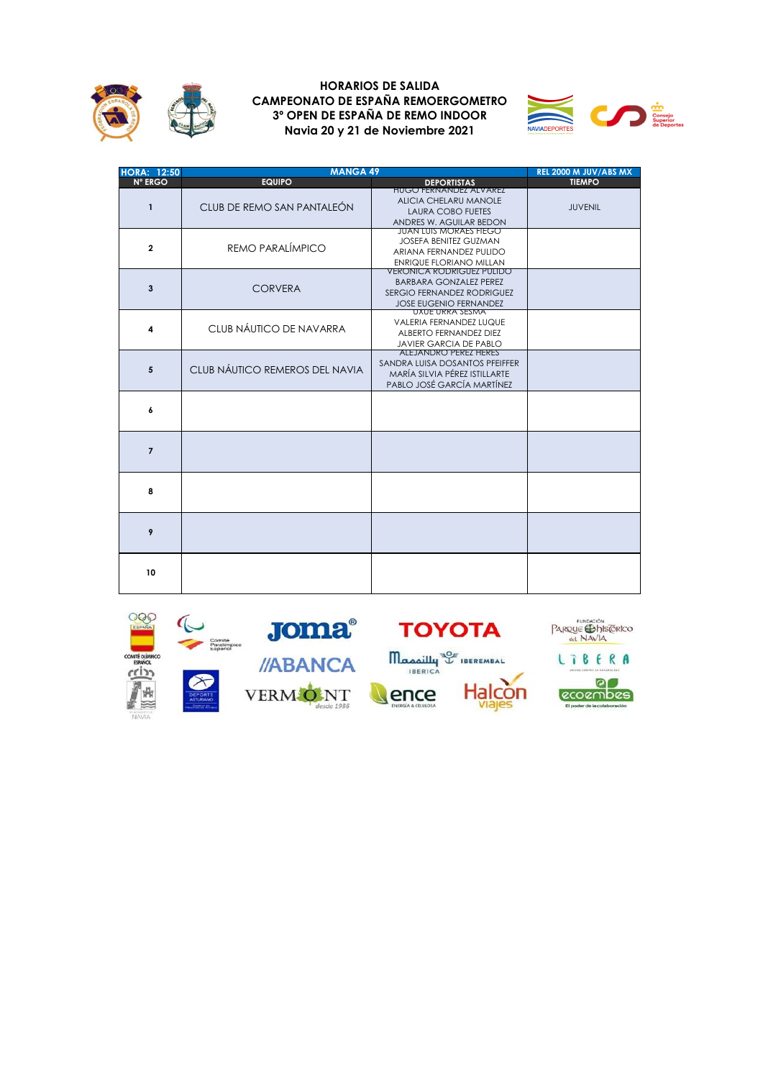



| <b>HORA: 12:50</b> | <b>MANGA 49</b>                |                                                                                                                                         | REL 2000 M JUV/ABS MX |
|--------------------|--------------------------------|-----------------------------------------------------------------------------------------------------------------------------------------|-----------------------|
| <b>N° ERGO</b>     | <b>EQUIPO</b>                  | <b>DEPORTISTAS</b>                                                                                                                      | <b>TIEMPO</b>         |
| $\mathbf{1}$       | CLUB DE REMO SAN PANTALEÓN     | <b>HUGO FERNANDEZ ALVAREZ</b><br><b>ALICIA CHELARU MANOLE</b><br><b>LAURA COBO FUETES</b><br>ANDRES W. AGUILAR BEDON                    | <b>JUVENIL</b>        |
| $\mathbf{2}$       | REMO PARALÍMPICO               | JUAN LUIS MORAES FIEGO<br><b>JOSEFA BENITEZ GUZMAN</b><br>ARIANA FERNANDEZ PULIDO<br>ENRIQUE FLORIANO MILLAN                            |                       |
| 3                  | <b>CORVERA</b>                 | <b>VERONICA RODRIGUEZ PULIDO</b><br><b>BARBARA GONZALEZ PEREZ</b><br><b>SERGIO FERNANDEZ RODRIGUEZ</b><br><b>JOSE EUGENIO FERNANDEZ</b> |                       |
| 4                  | CLUB NÁUTICO DE NAVARRA        | UXUE URRA SESMA<br><b>VALERIA FERNANDEZ LUQUE</b><br>ALBERTO FERNANDEZ DIEZ<br><b>JAVIER GARCIA DE PABLO</b>                            |                       |
| 5                  | CLUB NÁUTICO REMEROS DEL NAVIA | ALEJANDRO PEREZ HERES<br>SANDRA LUISA DOSANTOS PEEIFFER<br>MARÍA SILVIA PÉREZ ISTILLARTE<br>PABLO JOSÉ GARCÍA MARTÍNEZ                  |                       |
| 6                  |                                |                                                                                                                                         |                       |
| $\overline{7}$     |                                |                                                                                                                                         |                       |
| 8                  |                                |                                                                                                                                         |                       |
| 9                  |                                |                                                                                                                                         |                       |
| 10                 |                                |                                                                                                                                         |                       |